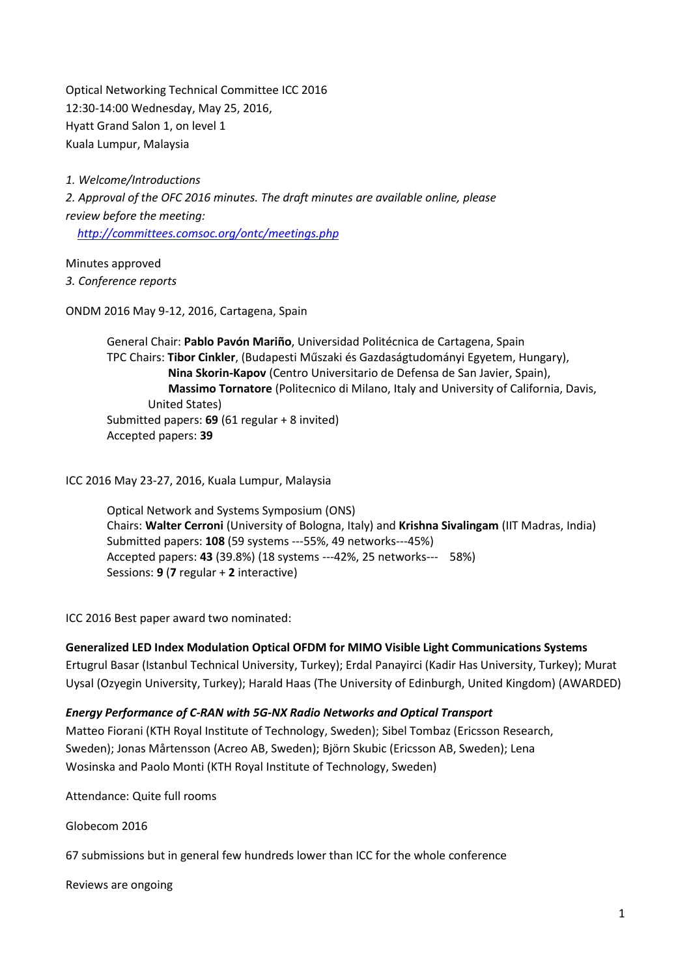Optical Networking Technical Committee ICC 2016 12:30-14:00 Wednesday, May 25, 2016, Hyatt Grand Salon 1, on level 1 Kuala Lumpur, Malaysia

*1. Welcome/Introductions*

*2. Approval of the OFC 2016 minutes. The draft minutes are available online, please review before the meeting:* 

 *<http://committees.comsoc.org/ontc/meetings.php>*

Minutes approved

*3. Conference reports*

ONDM 2016 May 9-12, 2016, Cartagena, Spain

General Chair: **Pablo Pavón Mariño**, Universidad Politécnica de Cartagena, Spain TPC Chairs: **Tibor Cinkler**, (Budapesti Műszaki és Gazdaságtudományi Egyetem, Hungary), **Nina Skorin-Kapov** (Centro Universitario de Defensa de San Javier, Spain), **Massimo Tornatore** (Politecnico di Milano, Italy and University of California, Davis, United States) Submitted papers: **69** (61 regular + 8 invited) Accepted papers: **39**

ICC 2016 May 23-27, 2016, Kuala Lumpur, Malaysia

Optical Network and Systems Symposium (ONS) Chairs: **Walter Cerroni** (University of Bologna, Italy) and **Krishna Sivalingam** (IIT Madras, India) Submitted papers: **108** (59 systems ---55%, 49 networks---45%) Accepted papers: **43** (39.8%) (18 systems ---42%, 25 networks--- 58%) Sessions: **9** (**7** regular + **2** interactive)

ICC 2016 Best paper award two nominated:

**Generalized LED Index Modulation Optical OFDM for MIMO Visible Light Communications Systems**

Ertugrul Basar (Istanbul Technical University, Turkey); Erdal Panayirci (Kadir Has University, Turkey); Murat Uysal (Ozyegin University, Turkey); Harald Haas (The University of Edinburgh, United Kingdom) (AWARDED)

*Energy Performance of C-RAN with 5G-NX Radio Networks and Optical Transport*

Matteo Fiorani (KTH Royal Institute of Technology, Sweden); Sibel Tombaz (Ericsson Research, Sweden); Jonas Mårtensson (Acreo AB, Sweden); Björn Skubic (Ericsson AB, Sweden); Lena Wosinska and Paolo Monti (KTH Royal Institute of Technology, Sweden)

Attendance: Quite full rooms

Globecom 2016

67 submissions but in general few hundreds lower than ICC for the whole conference

Reviews are ongoing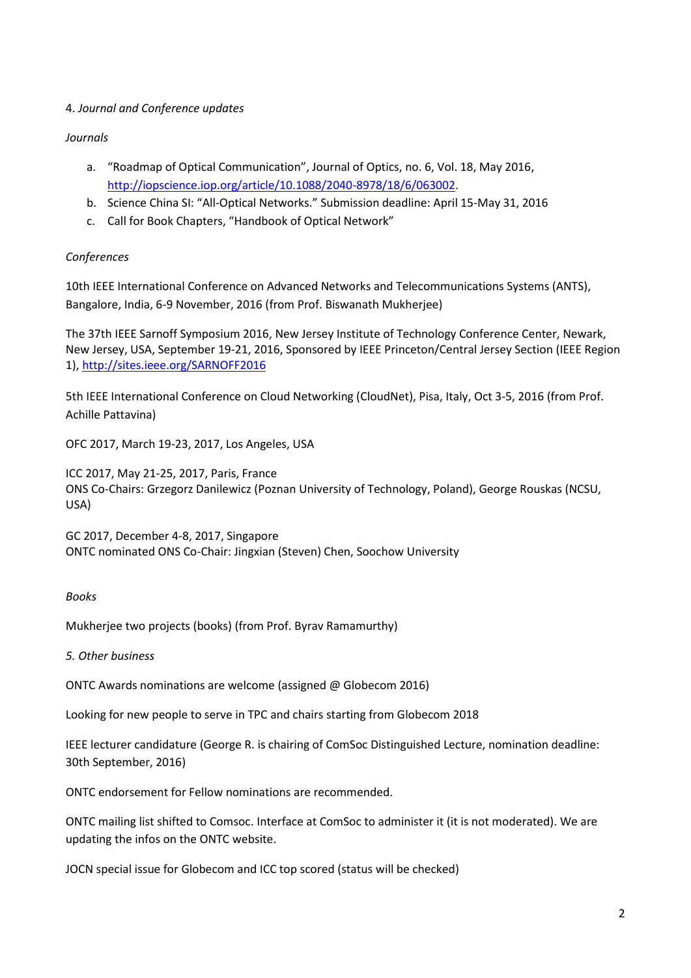## 4. *Journal and Conference updates*

## *Journals*

- a. "Roadmap of Optical Communication", Journal of Optics, no. 6, Vol. 18, May 2016, [http://iopscience.iop.org/article/10.1088/2040-8978/18/6/063002.](http://iopscience.iop.org/article/10.1088/2040-8978/18/6/063002)
- b. Science China SI: "All-Optical Networks." Submission deadline: April 15-May 31, 2016
- c. Call for Book Chapters, "Handbook of Optical Network"

## *Conferences*

10th IEEE International Conference on Advanced Networks and Telecommunications Systems (ANTS), Bangalore, India, 6-9 November, 2016 (from Prof. Biswanath Mukherjee)

The 37th IEEE Sarnoff Symposium 2016, New Jersey Institute of Technology Conference Center, Newark, New Jersey, USA, September 19-21, 2016, Sponsored by IEEE Princeton/Central Jersey Section (IEEE Region 1),<http://sites.ieee.org/SARNOFF2016>

5th IEEE International Conference on Cloud Networking (CloudNet), Pisa, Italy, Oct 3-5, 2016 (from Prof. Achille Pattavina)

OFC 2017, March 19-23, 2017, Los Angeles, USA

ICC 2017, May 21-25, 2017, Paris, France ONS Co-Chairs: Grzegorz Danilewicz (Poznan University of Technology, Poland), George Rouskas (NCSU, USA)

GC 2017, December 4-8, 2017, Singapore ONTC nominated ONS Co-Chair: Jingxian (Steven) Chen, Soochow University

## *Books*

Mukherjee two projects (books) (from Prof. Byrav Ramamurthy)

*5. Other business*

ONTC Awards nominations are welcome (assigned @ Globecom 2016)

Looking for new people to serve in TPC and chairs starting from Globecom 2018

IEEE lecturer candidature (George R. is chairing of ComSoc Distinguished Lecture, nomination deadline: 30th September, 2016)

ONTC endorsement for Fellow nominations are recommended.

ONTC mailing list shifted to Comsoc. Interface at ComSoc to administer it (it is not moderated). We are updating the infos on the ONTC website.

JOCN special issue for Globecom and ICC top scored (status will be checked)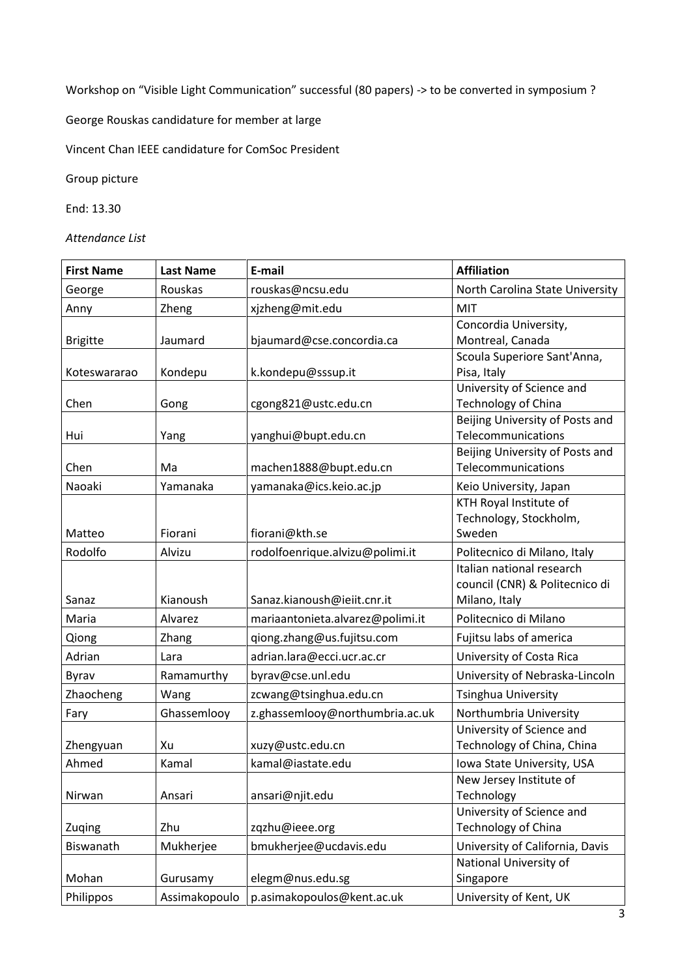Workshop on "Visible Light Communication" successful (80 papers) -> to be converted in symposium ?

George Rouskas candidature for member at large

Vincent Chan IEEE candidature for ComSoc President

Group picture

End: 13.30

*Attendance List*

| <b>First Name</b> | <b>Last Name</b> | E-mail                           | <b>Affiliation</b>                                                           |
|-------------------|------------------|----------------------------------|------------------------------------------------------------------------------|
| George            | Rouskas          | rouskas@ncsu.edu                 | North Carolina State University                                              |
| Anny              | Zheng            | xjzheng@mit.edu                  | <b>MIT</b>                                                                   |
| <b>Brigitte</b>   | Jaumard          | bjaumard@cse.concordia.ca        | Concordia University,<br>Montreal, Canada                                    |
| Koteswararao      | Kondepu          | k.kondepu@sssup.it               | Scoula Superiore Sant'Anna,<br>Pisa, Italy                                   |
| Chen              | Gong             | cgong821@ustc.edu.cn             | University of Science and<br>Technology of China                             |
| Hui               | Yang             | yanghui@bupt.edu.cn              | Beijing University of Posts and<br>Telecommunications                        |
| Chen              | Ma               | machen1888@bupt.edu.cn           | Beijing University of Posts and<br>Telecommunications                        |
| Naoaki            | Yamanaka         | yamanaka@ics.keio.ac.jp          | Keio University, Japan                                                       |
| Matteo            | Fiorani          | fiorani@kth.se                   | KTH Royal Institute of<br>Technology, Stockholm,<br>Sweden                   |
| Rodolfo           | Alvizu           | rodolfoenrique.alvizu@polimi.it  | Politecnico di Milano, Italy                                                 |
| Sanaz             | Kianoush         | Sanaz.kianoush@ieiit.cnr.it      | Italian national research<br>council (CNR) & Politecnico di<br>Milano, Italy |
| Maria             | Alvarez          | mariaantonieta.alvarez@polimi.it | Politecnico di Milano                                                        |
| Qiong             | Zhang            | qiong.zhang@us.fujitsu.com       | Fujitsu labs of america                                                      |
| Adrian            | Lara             | adrian.lara@ecci.ucr.ac.cr       | University of Costa Rica                                                     |
| Byrav             | Ramamurthy       | byrav@cse.unl.edu                | University of Nebraska-Lincoln                                               |
| Zhaocheng         | Wang             | zcwang@tsinghua.edu.cn           | <b>Tsinghua University</b>                                                   |
| Fary              | Ghassemlooy      | z.ghassemlooy@northumbria.ac.uk  | Northumbria University                                                       |
| Zhengyuan         | Xu               | xuzy@ustc.edu.cn                 | University of Science and<br>Technology of China, China                      |
| Ahmed             | Kamal            | kamal@iastate.edu                | Iowa State University, USA                                                   |
| Nirwan            | Ansari           | ansari@njit.edu                  | New Jersey Institute of<br>Technology                                        |
| Zuging            | Zhu              | zqzhu@ieee.org                   | University of Science and<br><b>Technology of China</b>                      |
| Biswanath         | Mukherjee        | bmukherjee@ucdavis.edu           | University of California, Davis                                              |
| Mohan             | Gurusamy         | elegm@nus.edu.sg                 | National University of<br>Singapore                                          |
| Philippos         | Assimakopoulo    | p.asimakopoulos@kent.ac.uk       | University of Kent, UK                                                       |